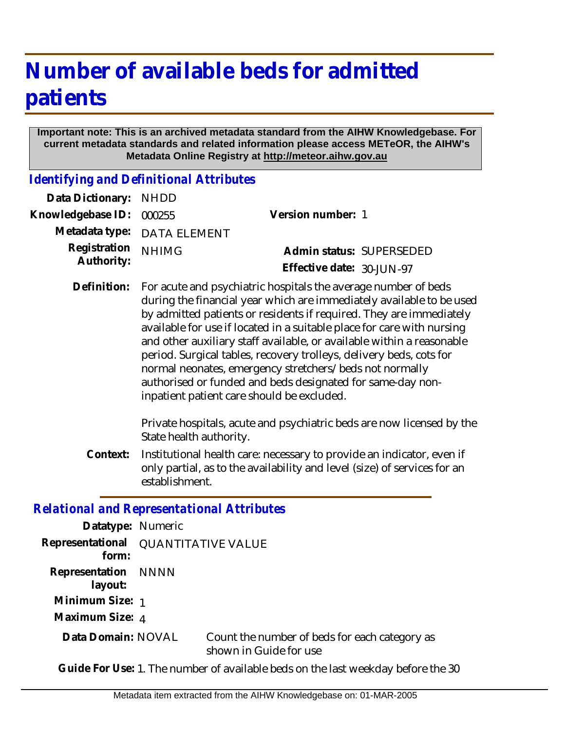## **Number of available beds for admitted patients**

## **Important note: This is an archived metadata standard from the AIHW Knowledgebase. For current metadata standards and related information please access METeOR, the AIHW's Metadata Online Registry at http://meteor.aihw.gov.au**

*Identifying and Definitional Attributes*

| Data Dictionary:                                  | <b>NHDD</b>                                                                                                                                                                                                                                                                                                                                                                                                                                                                                                                                                                                                    |                                                                                                                                                   |
|---------------------------------------------------|----------------------------------------------------------------------------------------------------------------------------------------------------------------------------------------------------------------------------------------------------------------------------------------------------------------------------------------------------------------------------------------------------------------------------------------------------------------------------------------------------------------------------------------------------------------------------------------------------------------|---------------------------------------------------------------------------------------------------------------------------------------------------|
| Knowledgebase ID:                                 | 000255                                                                                                                                                                                                                                                                                                                                                                                                                                                                                                                                                                                                         | Version number: 1                                                                                                                                 |
| Metadata type:                                    | <b>DATA ELEMENT</b>                                                                                                                                                                                                                                                                                                                                                                                                                                                                                                                                                                                            |                                                                                                                                                   |
| Registration<br>Authority:                        | <b>NHIMG</b>                                                                                                                                                                                                                                                                                                                                                                                                                                                                                                                                                                                                   | Admin status: SUPERSEDED<br>Effective date: 30-JUN-97                                                                                             |
| Definition:                                       | For acute and psychiatric hospitals the average number of beds<br>during the financial year which are immediately available to be used<br>by admitted patients or residents if required. They are immediately<br>available for use if located in a suitable place for care with nursing<br>and other auxiliary staff available, or available within a reasonable<br>period. Surgical tables, recovery trolleys, delivery beds, cots for<br>normal neonates, emergency stretchers/beds not normally<br>authorised or funded and beds designated for same-day non-<br>inpatient patient care should be excluded. |                                                                                                                                                   |
|                                                   | State health authority.                                                                                                                                                                                                                                                                                                                                                                                                                                                                                                                                                                                        | Private hospitals, acute and psychiatric beds are now licensed by the                                                                             |
| Context:                                          | establishment.                                                                                                                                                                                                                                                                                                                                                                                                                                                                                                                                                                                                 | Institutional health care: necessary to provide an indicator, even if<br>only partial, as to the availability and level (size) of services for an |
| <b>Relational and Representational Attributes</b> |                                                                                                                                                                                                                                                                                                                                                                                                                                                                                                                                                                                                                |                                                                                                                                                   |
| Datatype: Numeric                                 |                                                                                                                                                                                                                                                                                                                                                                                                                                                                                                                                                                                                                |                                                                                                                                                   |
| Representational<br>form:                         | <b>QUANTITATIVE VALUE</b>                                                                                                                                                                                                                                                                                                                                                                                                                                                                                                                                                                                      |                                                                                                                                                   |
| Representation<br>layout:                         | <b>NNNN</b>                                                                                                                                                                                                                                                                                                                                                                                                                                                                                                                                                                                                    |                                                                                                                                                   |

**Minimum Size:** 1

**Maximum Size:** 4

Count the number of beds for each category as shown in Guide for use **Data Domain:**

**Guide For Use:** 1. The number of available beds on the last weekday before the 30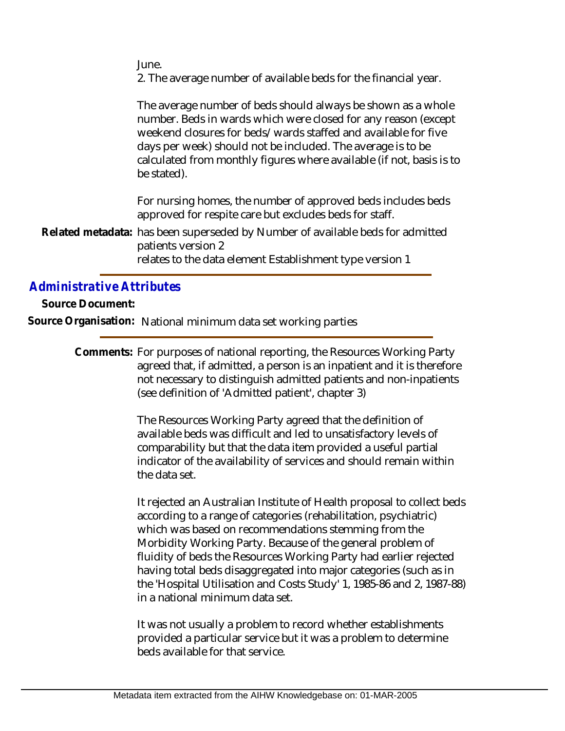June.

2. The average number of available beds for the financial year.

The average number of beds should always be shown as a whole number. Beds in wards which were closed for any reason (except weekend closures for beds/wards staffed and available for five days per week) should not be included. The average is to be calculated from monthly figures where available (if not, basis is to be stated).

For nursing homes, the number of approved beds includes beds approved for respite care but excludes beds for staff.

Related metadata: has been superseded by Number of available beds for admitted patients version 2 relates to the data element Establishment type version 1

*Administrative Attributes*

**Source Document:**

**Source Organisation:** National minimum data set working parties

Comments: For purposes of national reporting, the Resources Working Party agreed that, if admitted, a person is an inpatient and it is therefore not necessary to distinguish admitted patients and non-inpatients (see definition of 'Admitted patient', chapter 3)

> The Resources Working Party agreed that the definition of available beds was difficult and led to unsatisfactory levels of comparability but that the data item provided a useful partial indicator of the availability of services and should remain within the data set.

It rejected an Australian Institute of Health proposal to collect beds according to a range of categories (rehabilitation, psychiatric) which was based on recommendations stemming from the Morbidity Working Party. Because of the general problem of fluidity of beds the Resources Working Party had earlier rejected having total beds disaggregated into major categories (such as in the 'Hospital Utilisation and Costs Study' 1, 1985-86 and 2, 1987-88) in a national minimum data set.

It was not usually a problem to record whether establishments provided a particular service but it was a problem to determine beds available for that service.